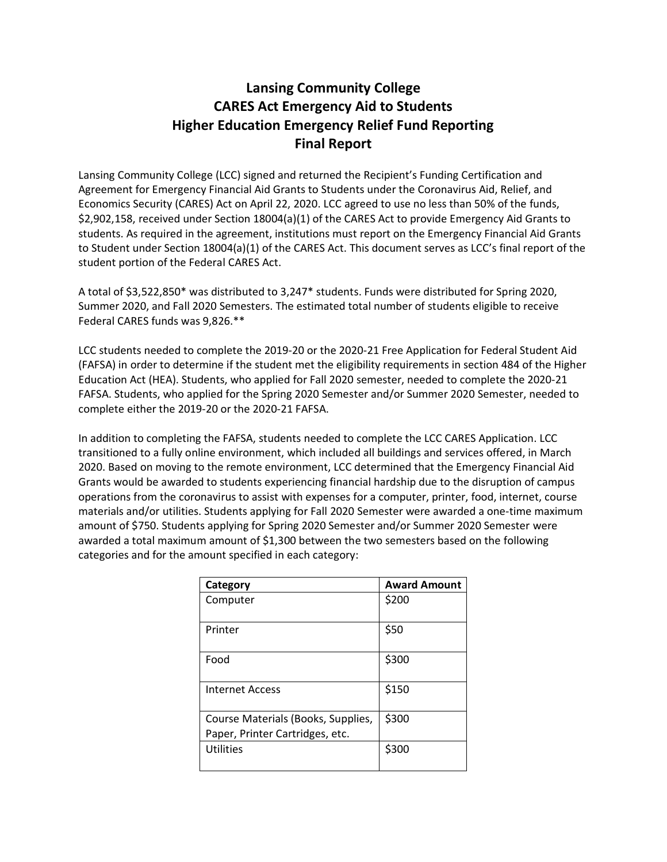## **Lansing Community College CARES Act Emergency Aid to Students Higher Education Emergency Relief Fund Reporting Final Report**

Lansing Community College (LCC) signed and returned the Recipient's Funding Certification and Agreement for Emergency Financial Aid Grants to Students under the Coronavirus Aid, Relief, and Economics Security (CARES) Act on April 22, 2020. LCC agreed to use no less than 50% of the funds, \$2,902,158, received under Section 18004(a)(1) of the CARES Act to provide Emergency Aid Grants to students. As required in the agreement, institutions must report on the Emergency Financial Aid Grants to Student under Section 18004(a)(1) of the CARES Act. This document serves as LCC's final report of the student portion of the Federal CARES Act.

A total of \$3,522,850\* was distributed to 3,247\* students. Funds were distributed for Spring 2020, Summer 2020, and Fall 2020 Semesters. The estimated total number of students eligible to receive Federal CARES funds was 9,826.\*\*

LCC students needed to complete the 2019-20 or the 2020-21 Free Application for Federal Student Aid (FAFSA) in order to determine if the student met the eligibility requirements in section 484 of the Higher Education Act (HEA). Students, who applied for Fall 2020 semester, needed to complete the 2020-21 FAFSA. Students, who applied for the Spring 2020 Semester and/or Summer 2020 Semester, needed to complete either the 2019-20 or the 2020-21 FAFSA.

In addition to completing the FAFSA, students needed to complete the LCC CARES Application. LCC transitioned to a fully online environment, which included all buildings and services offered, in March 2020. Based on moving to the remote environment, LCC determined that the Emergency Financial Aid Grants would be awarded to students experiencing financial hardship due to the disruption of campus operations from the coronavirus to assist with expenses for a computer, printer, food, internet, course materials and/or utilities. Students applying for Fall 2020 Semester were awarded a one-time maximum amount of \$750. Students applying for Spring 2020 Semester and/or Summer 2020 Semester were awarded a total maximum amount of \$1,300 between the two semesters based on the following categories and for the amount specified in each category:

| Category                                                              | <b>Award Amount</b> |
|-----------------------------------------------------------------------|---------------------|
| Computer                                                              | \$200               |
| Printer                                                               | \$50                |
| Food                                                                  | \$300               |
| <b>Internet Access</b>                                                | \$150               |
| Course Materials (Books, Supplies,<br>Paper, Printer Cartridges, etc. | \$300               |
| <b>Utilities</b>                                                      | \$300               |